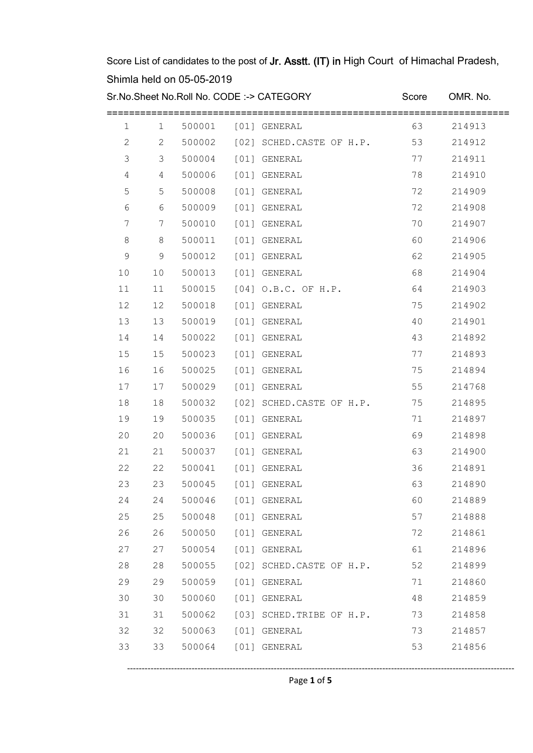Sr.No.Sheet No.Roll No. CODE :-> CATEGORY Score OMR. No.

| 1           | 1  | 500001 | [01] GENERAL                    | 63 | 214913 |
|-------------|----|--------|---------------------------------|----|--------|
| 2           | 2  |        | 500002 [02] SCHED.CASTE OF H.P. | 53 | 214912 |
| 3           | 3  | 500004 | [01] GENERAL                    | 77 | 214911 |
| 4           | 4  | 500006 | [01] GENERAL                    | 78 | 214910 |
| 5           | 5  | 500008 | [01] GENERAL                    | 72 | 214909 |
| 6           | 6  | 500009 | [01] GENERAL                    | 72 | 214908 |
| 7           | 7  | 500010 | [01] GENERAL                    | 70 | 214907 |
| $\,8\,$     | 8  | 500011 | [01] GENERAL                    | 60 | 214906 |
| $\mathsf 9$ | 9  | 500012 | [01] GENERAL                    | 62 | 214905 |
| 10          | 10 | 500013 | [01] GENERAL                    | 68 | 214904 |
| 11          | 11 | 500015 | [04] O.B.C. OF H.P.             | 64 | 214903 |
| 12          | 12 | 500018 | [01] GENERAL                    | 75 | 214902 |
| 13          | 13 | 500019 | [01] GENERAL                    | 40 | 214901 |
| 14          | 14 | 500022 | [01] GENERAL                    | 43 | 214892 |
| 15          | 15 | 500023 | [01] GENERAL                    | 77 | 214893 |
| 16          | 16 | 500025 | [01] GENERAL                    | 75 | 214894 |
| 17          | 17 | 500029 | [01] GENERAL                    | 55 | 214768 |
| 18          | 18 | 500032 | [02] SCHED.CASTE OF H.P.        | 75 | 214895 |
| 19          | 19 | 500035 | [01] GENERAL                    | 71 | 214897 |
| 20          | 20 | 500036 | [01] GENERAL                    | 69 | 214898 |
| 21          | 21 | 500037 | [01] GENERAL                    | 63 | 214900 |
| 22          | 22 | 500041 | [01] GENERAL                    | 36 | 214891 |
| 23          | 23 | 500045 | [01] GENERAL                    | 63 | 214890 |
| 24          | 24 | 500046 | [01] GENERAL                    | 60 | 214889 |
| 25          | 25 | 500048 | [01] GENERAL                    | 57 | 214888 |
| 26          | 26 | 500050 | [01] GENERAL                    | 72 | 214861 |
| 27          | 27 | 500054 | [01] GENERAL                    | 61 | 214896 |
| 28          | 28 | 500055 | [02] SCHED.CASTE OF H.P.        | 52 | 214899 |
| 29          | 29 | 500059 | [01] GENERAL                    | 71 | 214860 |
| 30          | 30 | 500060 | [01] GENERAL                    | 48 | 214859 |
| 31          | 31 | 500062 | [03] SCHED. TRIBE OF H.P.       | 73 | 214858 |
| 32          | 32 | 500063 | [01] GENERAL                    | 73 | 214857 |
| 33          | 33 | 500064 | [01] GENERAL                    | 53 | 214856 |
|             |    |        |                                 |    |        |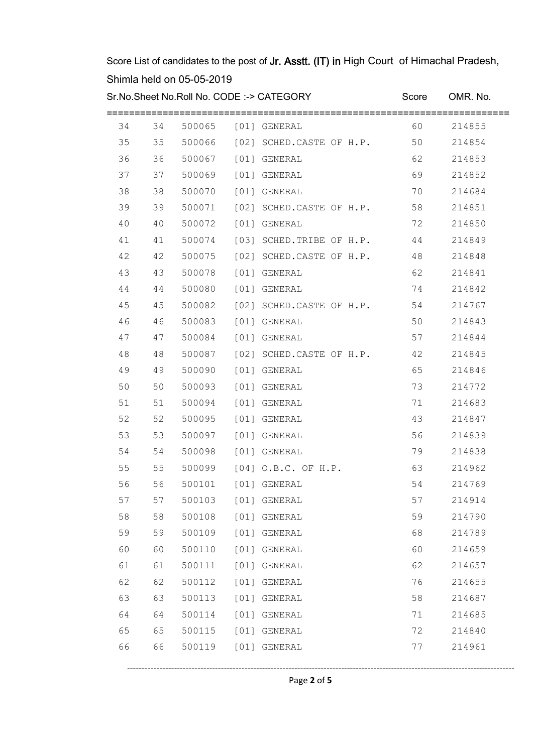Sr.No.Sheet No.Roll No. CODE :-> CATEGORY Score OMR. No.

| 34 | 34 |                     | 500065 [01] GENERAL             | 60 | 214855 |
|----|----|---------------------|---------------------------------|----|--------|
| 35 | 35 |                     | 500066 [02] SCHED.CASTE OF H.P. | 50 | 214854 |
| 36 | 36 |                     | 500067 [01] GENERAL             | 62 | 214853 |
| 37 | 37 | 500069 [01] GENERAL |                                 | 69 | 214852 |
| 38 | 38 | 500070              | [01] GENERAL                    | 70 | 214684 |
| 39 | 39 |                     | 500071 [02] SCHED.CASTE OF H.P. | 58 | 214851 |
| 40 | 40 | 500072              | [01] GENERAL                    | 72 | 214850 |
| 41 | 41 | 500074              | [03] SCHED.TRIBE OF H.P.        | 44 | 214849 |
| 42 | 42 | 500075              | [02] SCHED.CASTE OF H.P.        | 48 | 214848 |
| 43 | 43 | 500078              | [01] GENERAL                    | 62 | 214841 |
| 44 | 44 | 500080              | [01] GENERAL                    | 74 | 214842 |
| 45 | 45 |                     | 500082 [02] SCHED.CASTE OF H.P. | 54 | 214767 |
| 46 | 46 | 500083              | [01] GENERAL                    | 50 | 214843 |
| 47 | 47 | 500084              | [01] GENERAL                    | 57 | 214844 |
| 48 | 48 | 500087              | [02] SCHED.CASTE OF H.P.        | 42 | 214845 |
| 49 | 49 | 500090              | [01] GENERAL                    | 65 | 214846 |
| 50 | 50 | 500093              | [01] GENERAL                    | 73 | 214772 |
| 51 | 51 | 500094              | [01] GENERAL                    | 71 | 214683 |
| 52 | 52 | 500095              | [01] GENERAL                    | 43 | 214847 |
| 53 | 53 | 500097              | [01] GENERAL                    | 56 | 214839 |
| 54 | 54 | 500098              | [01] GENERAL                    | 79 | 214838 |
| 55 | 55 | 500099              | [04] O.B.C. OF H.P.             | 63 | 214962 |
| 56 | 56 | 500101              | [01] GENERAL                    | 54 | 214769 |
| 57 | 57 | 500103              | [01] GENERAL                    | 57 | 214914 |
| 58 | 58 | 500108              | [01] GENERAL                    | 59 | 214790 |
| 59 | 59 | 500109              | [01] GENERAL                    | 68 | 214789 |
| 60 | 60 | 500110              | [01] GENERAL                    | 60 | 214659 |
| 61 | 61 | 500111              | [01] GENERAL                    | 62 | 214657 |
| 62 | 62 | 500112              | [01] GENERAL                    | 76 | 214655 |
| 63 | 63 | 500113              | [01] GENERAL                    | 58 | 214687 |
| 64 | 64 | 500114              | [01] GENERAL                    | 71 | 214685 |
| 65 | 65 | 500115              | [01] GENERAL                    | 72 | 214840 |
| 66 | 66 | 500119              | [01] GENERAL                    | 77 | 214961 |
|    |    |                     |                                 |    |        |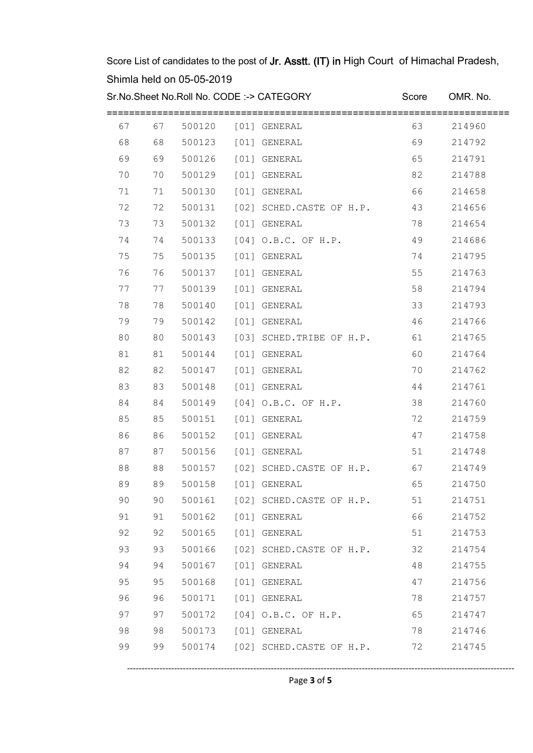Sr.No.Sheet No.Roll No. CODE :-> CATEGORY Score OMR. No.

| 67 | 67 | 500120              | [01] GENERAL                    | 63    | 214960 |
|----|----|---------------------|---------------------------------|-------|--------|
| 68 | 68 | 500123              | [01] GENERAL                    | 69    | 214792 |
| 69 | 69 | 500126              | [01] GENERAL                    | 65    | 214791 |
| 70 | 70 | 500129              | [01] GENERAL                    | 82    | 214788 |
| 71 | 71 | 500130              | [01] GENERAL                    | 66    | 214658 |
| 72 | 72 | 500131              | [02] SCHED.CASTE OF H.P.        | 43    | 214656 |
| 73 | 73 | 500132              | [01] GENERAL                    | 78    | 214654 |
| 74 | 74 | 500133              | $[04]$ O.B.C. OF H.P.           | 49    | 214686 |
| 75 | 75 | 500135              | [01] GENERAL                    | 74    | 214795 |
| 76 | 76 | 500137              | [01] GENERAL                    | 55    | 214763 |
| 77 | 77 | 500139              | [01] GENERAL                    | 58    | 214794 |
| 78 | 78 | 500140              | [01] GENERAL                    | 33    | 214793 |
| 79 | 79 | 500142              | [01] GENERAL                    | 46    | 214766 |
| 80 | 80 | 500143              | [03] SCHED. TRIBE OF H.P.       | 61    | 214765 |
| 81 | 81 | 500144              | [01] GENERAL                    | 60    | 214764 |
| 82 | 82 | 500147              | [01] GENERAL                    | 70    | 214762 |
| 83 | 83 | 500148              | [01] GENERAL                    | 44    | 214761 |
| 84 | 84 | 500149              | $[04]$ O.B.C. OF H.P.           | 38    | 214760 |
| 85 | 85 | 500151              | [01] GENERAL                    | 72    | 214759 |
| 86 | 86 | 500152              | [01] GENERAL                    | 47    | 214758 |
| 87 | 87 | 500156              | [01] GENERAL                    | 51    | 214748 |
| 88 | 88 | 500157              | [02] SCHED.CASTE OF H.P.        | 67    | 214749 |
| 89 | 89 | 500158              | [01] GENERAL                    | 65    | 214750 |
| 90 | 90 |                     | 500161 [02] SCHED.CASTE OF H.P. | 51    | 214751 |
| 91 | 91 | 500162 [01] GENERAL |                                 | 66 10 | 214752 |
| 92 | 92 | 500165 [01] GENERAL |                                 | 51    | 214753 |
| 93 | 93 |                     | 500166 [02] SCHED.CASTE OF H.P. | 32    | 214754 |
| 94 | 94 |                     | 500167 [01] GENERAL             | 48    | 214755 |
| 95 | 95 |                     | 500168 [01] GENERAL             | 47    | 214756 |
| 96 | 96 |                     | 500171 [01] GENERAL             | 78    | 214757 |
| 97 | 97 |                     | 500172 [04] O.B.C. OF H.P.      | 65    | 214747 |
| 98 | 98 |                     | 500173 [01] GENERAL             | 78    | 214746 |
| 99 | 99 |                     | 500174 [02] SCHED.CASTE OF H.P. | 72    | 214745 |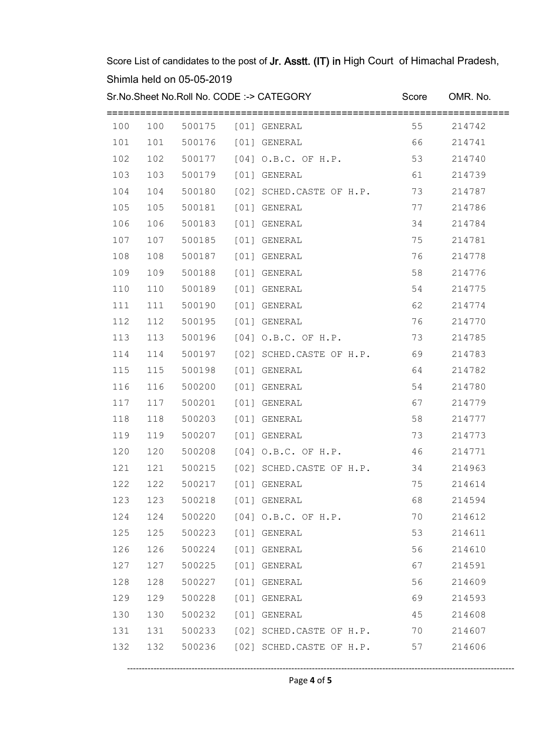Sr.No.Sheet No.Roll No. CODE :-> CATEGORY Score OMR. No.

| 100 | 100 | 500175                  |      | [01] GENERAL                    | 55   | 214742 |
|-----|-----|-------------------------|------|---------------------------------|------|--------|
| 101 | 101 | 500176                  |      | [01] GENERAL                    | 66   | 214741 |
| 102 | 102 | 500177                  |      | $[04]$ O.B.C. OF H.P.           | 53   | 214740 |
| 103 | 103 | 500179                  |      | [01] GENERAL                    | 61   | 214739 |
| 104 | 104 | 500180                  |      | [02] SCHED.CASTE OF H.P.        | 73   | 214787 |
| 105 | 105 | 500181                  |      | [01] GENERAL                    | 77   | 214786 |
| 106 | 106 | 500183                  |      | [01] GENERAL                    | 34   | 214784 |
| 107 | 107 | 500185                  |      | [01] GENERAL                    | 75   | 214781 |
| 108 | 108 | 500187                  |      | [01] GENERAL                    | 76   | 214778 |
| 109 | 109 | 500188                  |      | [01] GENERAL                    | 58   | 214776 |
| 110 | 110 | 500189                  |      | [01] GENERAL                    | 54   | 214775 |
| 111 | 111 | 500190                  |      | [01] GENERAL                    | 62   | 214774 |
| 112 | 112 | 500195                  |      | [01] GENERAL                    | 76   | 214770 |
| 113 | 113 | 500196                  |      | [04] O.B.C. OF H.P.             | 73   | 214785 |
| 114 | 114 | 500197                  |      | [02] SCHED.CASTE OF H.P.        | 69   | 214783 |
| 115 | 115 | 500198                  |      | [01] GENERAL                    | 64   | 214782 |
| 116 | 116 | 500200                  |      | [01] GENERAL                    | 54   | 214780 |
| 117 | 117 | 500201                  | [01] | GENERAL                         | 67   | 214779 |
| 118 | 118 | 500203                  |      | [01] GENERAL                    | 58   | 214777 |
| 119 | 119 | 500207                  |      | [01] GENERAL                    | 73   | 214773 |
| 120 | 120 | 500208                  |      | $[04]$ O.B.C. OF H.P.           | 46   | 214771 |
| 121 | 121 | 500215                  |      | [02] SCHED.CASTE OF H.P.        | 34   | 214963 |
| 122 | 122 | 500217                  |      | [01] GENERAL                    | 75   | 214614 |
| 123 | 123 | 500218                  |      | [01] GENERAL                    | 68   | 214594 |
| 124 | 124 |                         |      | 500220 [04] O.B.C. OF H.P.      | 70   | 214612 |
| 125 |     | 125 500223 [01] GENERAL |      |                                 | 53   | 214611 |
| 126 | 126 | 500224 [01] GENERAL     |      |                                 | 56 0 | 214610 |
| 127 | 127 | 500225 [01] GENERAL     |      |                                 | 67   | 214591 |
| 128 | 128 | 500227 [01] GENERAL     |      |                                 | 56   | 214609 |
| 129 | 129 | 500228 [01] GENERAL     |      |                                 | 69   | 214593 |
| 130 | 130 | 500232 [01] GENERAL     |      |                                 | 45   | 214608 |
| 131 | 131 |                         |      | 500233 [02] SCHED.CASTE OF H.P. | 70   | 214607 |
| 132 | 132 |                         |      | 500236 [02] SCHED.CASTE OF H.P. | 57   | 214606 |